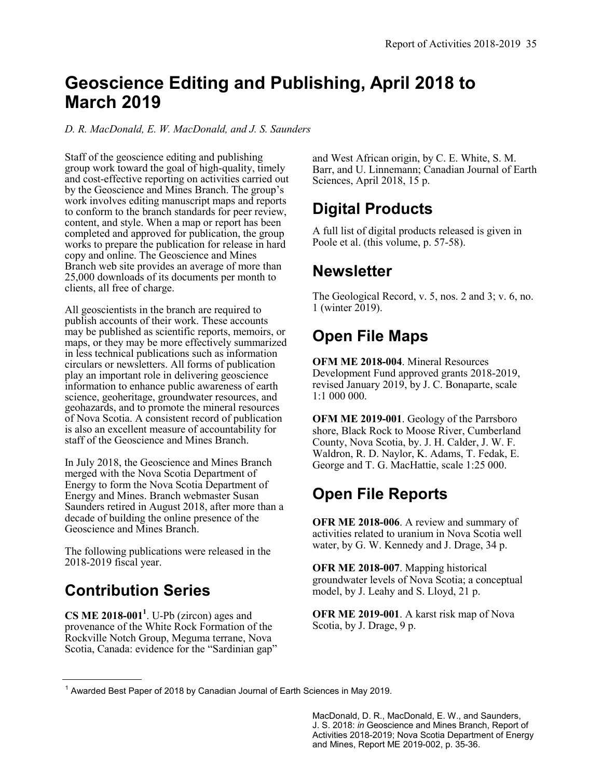## **Geoscience Editing and Publishing, April 2018 to March 2019**

*D. R. MacDonald, E. W. MacDonald, and J. S. Saunders*

Staff of the geoscience editing and publishing group work toward the goal of high-quality, timely and cost-effective reporting on activities carried out by the Geoscience and Mines Branch. The group's work involves editing manuscript maps and reports to conform to the branch standards for peer review, content, and style. When a map or report has been completed and approved for publication, the group works to prepare the publication for release in hard copy and online. The Geoscience and Mines Branch web site provides an average of more than 25,000 downloads of its documents per month to clients, all free of charge.

All geoscientists in the branch are required to publish accounts of their work. These accounts may be published as scientific reports, memoirs, or maps, or they may be more effectively summarized in less technical publications such as information circulars or newsletters. All forms of publication play an important role in delivering geoscience information to enhance public awareness of earth science, geoheritage, groundwater resources, and geohazards, and to promote the mineral resources of Nova Scotia. A consistent record of publication is also an excellent measure of accountability for staff of the Geoscience and Mines Branch.

In July 2018, the Geoscience and Mines Branch merged with the Nova Scotia Department of Energy to form the Nova Scotia Department of Energy and Mines. Branch webmaster Susan Saunders retired in August 2018, after more than a decade of building the online presence of the Geoscience and Mines Branch.

The following publications were released in the 2018-2019 fiscal year.

#### **Contribution Series**

**CS ME 2018-001<sup>1</sup>** . U-Pb (zircon) ages and provenance of the White Rock Formation of the Rockville Notch Group, Meguma terrane, Nova Scotia, Canada: evidence for the "Sardinian gap" and West African origin, by C. E. White, S. M. Barr, and U. Linnemann; Canadian Journal of Earth Sciences, April 2018, 15 p.

#### **Digital Products**

A full list of digital products released is given in Poole et al. (this volume, p. 57-58).

#### **Newsletter**

The Geological Record, v. 5, nos. 2 and 3; v. 6, no. 1 (winter 2019).

### **Open File Maps**

**OFM ME 2018-004**. Mineral Resources Development Fund approved grants 2018-2019, revised January 2019, by J. C. Bonaparte, scale 1:1 000 000.

**OFM ME 2019-001**. Geology of the Parrsboro shore, Black Rock to Moose River, Cumberland County, Nova Scotia, by. J. H. Calder, J. W. F. Waldron, R. D. Naylor, K. Adams, T. Fedak, E. George and T. G. MacHattie, scale 1:25 000.

#### **Open File Reports**

**OFR ME 2018-006**. A review and summary of activities related to uranium in Nova Scotia well water, by G. W. Kennedy and J. Drage, 34 p.

**OFR ME 2018-007**. Mapping historical groundwater levels of Nova Scotia; a conceptual model, by J. Leahy and S. Lloyd, 21 p.

**OFR ME 2019-001**. A karst risk map of Nova Scotia, by J. Drage, 9 p.

MacDonald, D. R., MacDonald, E. W., and Saunders, J. S. 2018: *in* Geoscience and Mines Branch, Report of Activities 2018-2019; Nova Scotia Department of Energy and Mines, Report ME 2019-002, p. 35-36.

<sup>1</sup> Awarded Best Paper of 2018 by Canadian Journal of Earth Sciences in May 2019.